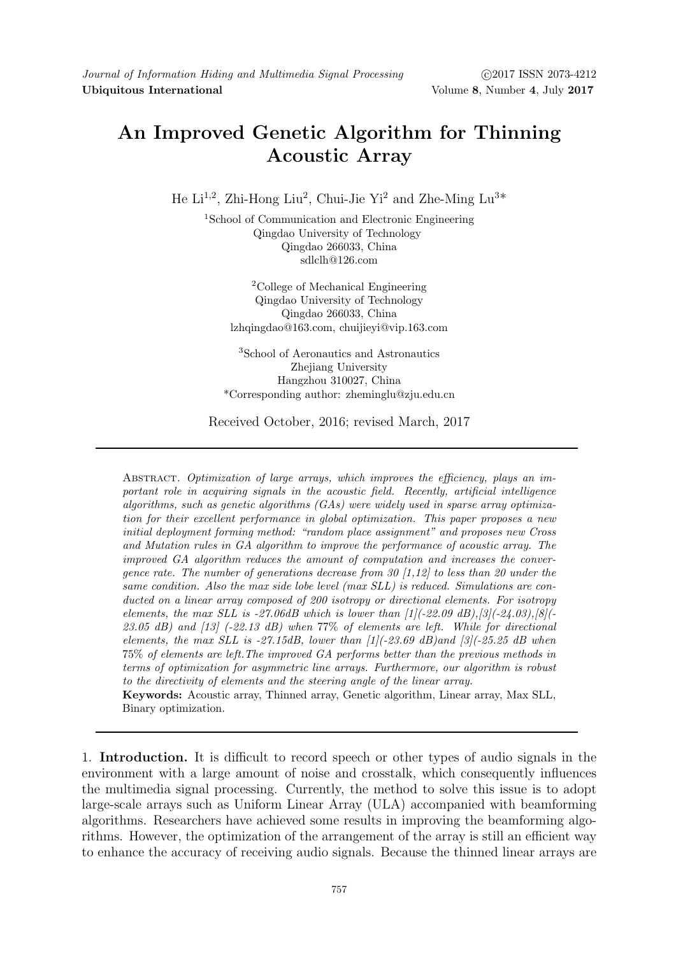## An Improved Genetic Algorithm for Thinning Acoustic Array

He Li<sup>1,2</sup>, Zhi-Hong Liu<sup>2</sup>, Chui-Jie Yi<sup>2</sup> and Zhe-Ming Lu<sup>3\*</sup>

<sup>1</sup>School of Communication and Electronic Engineering Qingdao University of Technology Qingdao 266033, China sdlclh@126.com

<sup>2</sup>College of Mechanical Engineering Qingdao University of Technology Qingdao 266033, China lzhqingdao@163.com, chuijieyi@vip.163.com

<sup>3</sup>School of Aeronautics and Astronautics Zhejiang University Hangzhou 310027, China \*Corresponding author: zheminglu@zju.edu.cn

Received October, 2016; revised March, 2017

ABSTRACT. Optimization of large arrays, which improves the efficiency, plays an important role in acquiring signals in the acoustic field. Recently, artificial intelligence algorithms, such as genetic algorithms  $(GAs)$  were widely used in sparse array optimization for their excellent performance in global optimization. This paper proposes a new initial deployment forming method: "random place assignment" and proposes new Cross and Mutation rules in GA algorithm to improve the performance of acoustic array. The improved GA algorithm reduces the amount of computation and increases the convergence rate. The number of generations decrease from 30  $[1,12]$  to less than 20 under the same condition. Also the max side lobe level (max SLL) is reduced. Simulations are conducted on a linear array composed of 200 isotropy or directional elements. For isotropy elements, the max SLL is -27.06dB which is lower than  $[1]$ (-22.09 dB), $[3]$ (-24.03), $[8]$ (- $23.05$  dB) and  $\left[13\right]$  (-22.13 dB) when 77\% of elements are left. While for directional elements, the max SLL is -27.15dB, lower than  $[1]$ (-23.69 dB)and  $[3]$ (-25.25 dB when 75% of elements are left.The improved GA performs better than the previous methods in terms of optimization for asymmetric line arrays. Furthermore, our algorithm is robust to the directivity of elements and the steering angle of the linear array.

Keywords: Acoustic array, Thinned array, Genetic algorithm, Linear array, Max SLL, Binary optimization.

1. Introduction. It is difficult to record speech or other types of audio signals in the environment with a large amount of noise and crosstalk, which consequently influences the multimedia signal processing. Currently, the method to solve this issue is to adopt large-scale arrays such as Uniform Linear Array (ULA) accompanied with beamforming algorithms. Researchers have achieved some results in improving the beamforming algorithms. However, the optimization of the arrangement of the array is still an efficient way to enhance the accuracy of receiving audio signals. Because the thinned linear arrays are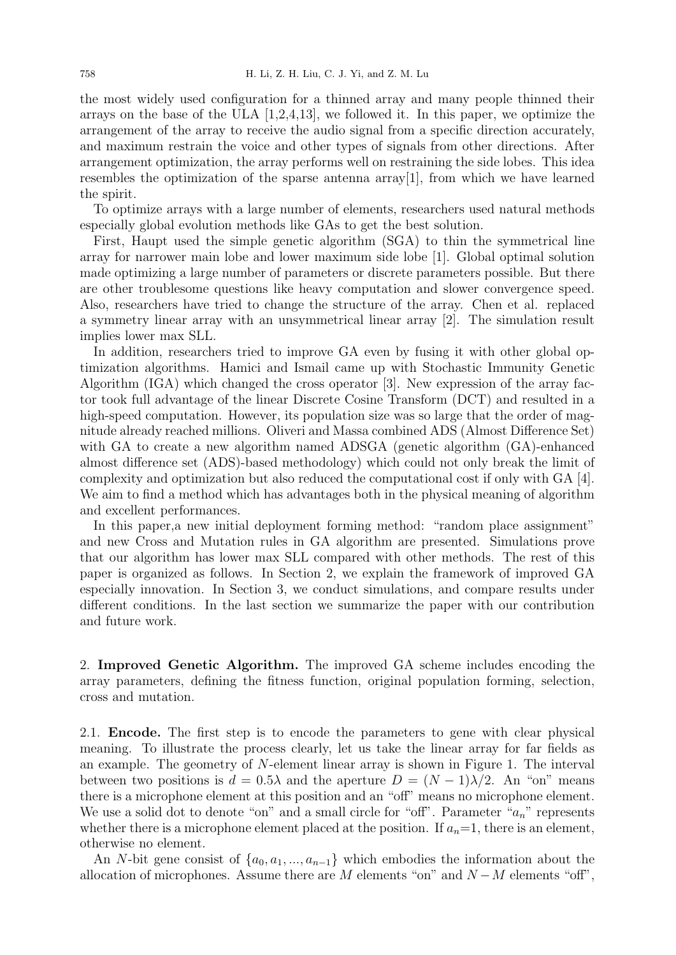the most widely used configuration for a thinned array and many people thinned their arrays on the base of the ULA [1,2,4,13], we followed it. In this paper, we optimize the arrangement of the array to receive the audio signal from a specific direction accurately, and maximum restrain the voice and other types of signals from other directions. After arrangement optimization, the array performs well on restraining the side lobes. This idea resembles the optimization of the sparse antenna array[1], from which we have learned the spirit.

To optimize arrays with a large number of elements, researchers used natural methods especially global evolution methods like GAs to get the best solution.

First, Haupt used the simple genetic algorithm (SGA) to thin the symmetrical line array for narrower main lobe and lower maximum side lobe [1]. Global optimal solution made optimizing a large number of parameters or discrete parameters possible. But there are other troublesome questions like heavy computation and slower convergence speed. Also, researchers have tried to change the structure of the array. Chen et al. replaced a symmetry linear array with an unsymmetrical linear array [2]. The simulation result implies lower max SLL.

In addition, researchers tried to improve GA even by fusing it with other global optimization algorithms. Hamici and Ismail came up with Stochastic Immunity Genetic Algorithm (IGA) which changed the cross operator [3]. New expression of the array factor took full advantage of the linear Discrete Cosine Transform (DCT) and resulted in a high-speed computation. However, its population size was so large that the order of magnitude already reached millions. Oliveri and Massa combined ADS (Almost Difference Set) with GA to create a new algorithm named ADSGA (genetic algorithm (GA)-enhanced almost difference set (ADS)-based methodology) which could not only break the limit of complexity and optimization but also reduced the computational cost if only with GA [4]. We aim to find a method which has advantages both in the physical meaning of algorithm and excellent performances.

In this paper,a new initial deployment forming method: "random place assignment" and new Cross and Mutation rules in GA algorithm are presented. Simulations prove that our algorithm has lower max SLL compared with other methods. The rest of this paper is organized as follows. In Section 2, we explain the framework of improved GA especially innovation. In Section 3, we conduct simulations, and compare results under different conditions. In the last section we summarize the paper with our contribution and future work.

2. Improved Genetic Algorithm. The improved GA scheme includes encoding the array parameters, defining the fitness function, original population forming, selection, cross and mutation.

2.1. Encode. The first step is to encode the parameters to gene with clear physical meaning. To illustrate the process clearly, let us take the linear array for far fields as an example. The geometry of N-element linear array is shown in Figure 1. The interval between two positions is  $d = 0.5\lambda$  and the aperture  $D = (N-1)\lambda/2$ . An "on" means there is a microphone element at this position and an "off" means no microphone element. We use a solid dot to denote "on" and a small circle for "off". Parameter " $a_n$ " represents whether there is a microphone element placed at the position. If  $a_n=1$ , there is an element, otherwise no element.

An N-bit gene consist of  $\{a_0, a_1, ..., a_{n-1}\}$  which embodies the information about the allocation of microphones. Assume there are M elements "on" and  $N-M$  elements "off",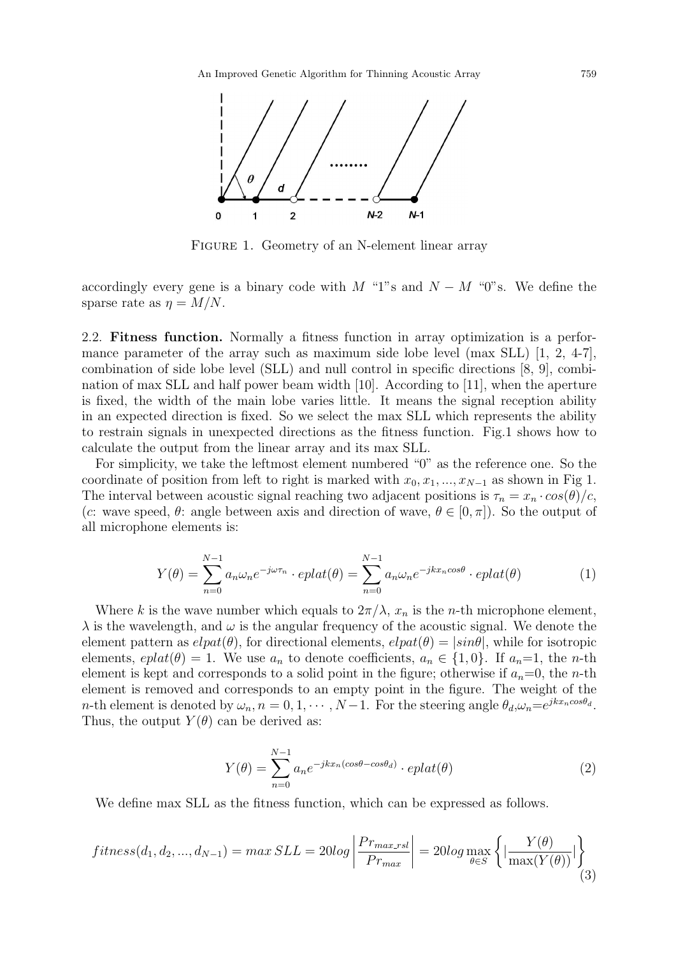

FIGURE 1. Geometry of an N-element linear array

accordingly every gene is a binary code with M "1"s and  $N - M$  "0"s. We define the sparse rate as  $\eta = M/N$ .

2.2. Fitness function. Normally a fitness function in array optimization is a performance parameter of the array such as maximum side lobe level (max SLL) [1, 2, 4-7], combination of side lobe level (SLL) and null control in specific directions [8, 9], combination of max SLL and half power beam width [10]. According to [11], when the aperture is fixed, the width of the main lobe varies little. It means the signal reception ability in an expected direction is fixed. So we select the max SLL which represents the ability to restrain signals in unexpected directions as the fitness function. Fig.1 shows how to calculate the output from the linear array and its max SLL.

For simplicity, we take the leftmost element numbered "0" as the reference one. So the coordinate of position from left to right is marked with  $x_0, x_1, ..., x_{N-1}$  as shown in Fig 1. The interval between acoustic signal reaching two adjacent positions is  $\tau_n = x_n \cdot cos(\theta)/c$ , (c: wave speed,  $\theta$ : angle between axis and direction of wave,  $\theta \in [0, \pi]$ ). So the output of all microphone elements is:

$$
Y(\theta) = \sum_{n=0}^{N-1} a_n \omega_n e^{-j\omega \tau_n} \cdot eplat(\theta) = \sum_{n=0}^{N-1} a_n \omega_n e^{-jkx_n \cos \theta} \cdot eplat(\theta)
$$
 (1)

Where k is the wave number which equals to  $2\pi/\lambda$ ,  $x_n$  is the n-th microphone element,  $\lambda$  is the wavelength, and  $\omega$  is the angular frequency of the acoustic signal. We denote the element pattern as  $elpat(\theta)$ , for directional elements,  $elpat(\theta) = |sin\theta|$ , while for isotropic elements,  $eplat(\theta) = 1$ . We use  $a_n$  to denote coefficients,  $a_n \in \{1, 0\}$ . If  $a_n=1$ , the *n*-th element is kept and corresponds to a solid point in the figure; otherwise if  $a_n=0$ , the n-th element is removed and corresponds to an empty point in the figure. The weight of the *n*-th element is denoted by  $\omega_n$ ,  $n = 0, 1, \cdots, N-1$ . For the steering angle  $\theta_d$ ,  $\omega_n = e^{jkx_n\cos\theta_d}$ . Thus, the output  $Y(\theta)$  can be derived as:

$$
Y(\theta) = \sum_{n=0}^{N-1} a_n e^{-jkx_n(\cos\theta - \cos\theta_d)} \cdot eplat(\theta)
$$
 (2)

We define max SLL as the fitness function, which can be expressed as follows.

$$
fitness(d_1, d_2, ..., d_{N-1}) = max SLL = 20log \left| \frac{Pr_{max\_rsl}}{Pr_{max}} \right| = 20log \max_{\theta \in S} \left\{ \left| \frac{Y(\theta)}{\max(Y(\theta))} \right| \right\}
$$
(3)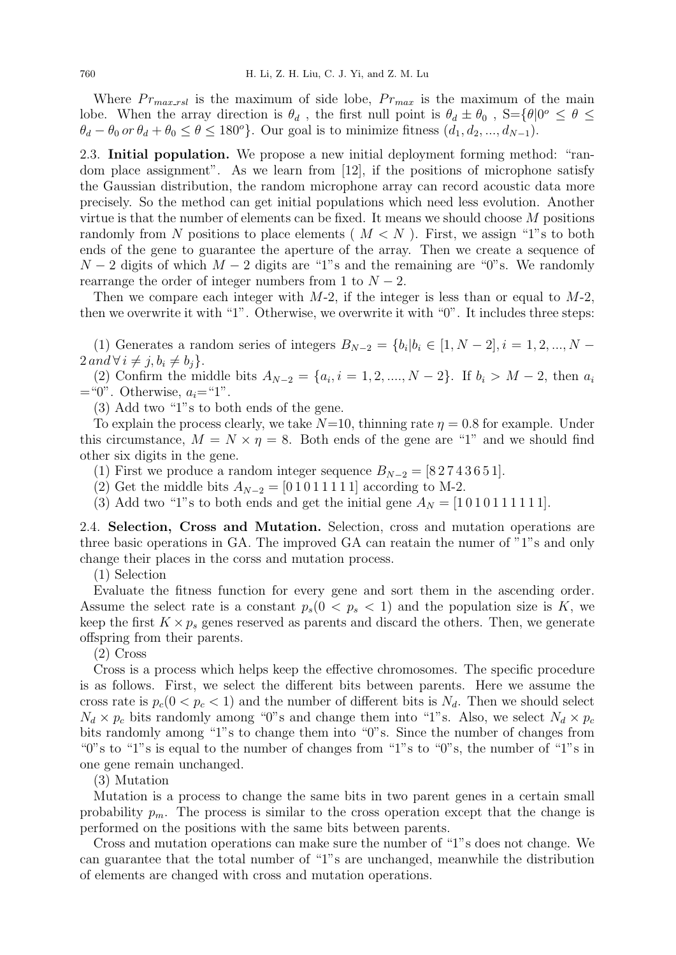Where  $Pr_{max\_rsl}$  is the maximum of side lobe,  $Pr_{max}$  is the maximum of the main lobe. When the array direction is  $\theta_d$ , the first null point is  $\theta_d \pm \theta_0$ ,  $S = {\theta | 0^o \le \theta \le \theta}$  $\theta_d - \theta_0$  or  $\theta_d + \theta_0 \le \theta \le 180^\circ$ . Our goal is to minimize fitness  $(d_1, d_2, ..., d_{N-1})$ .

2.3. Initial population. We propose a new initial deployment forming method: "random place assignment". As we learn from [12], if the positions of microphone satisfy the Gaussian distribution, the random microphone array can record acoustic data more precisely. So the method can get initial populations which need less evolution. Another virtue is that the number of elements can be fixed. It means we should choose M positions randomly from N positions to place elements ( $M < N$ ). First, we assign "1"s to both ends of the gene to guarantee the aperture of the array. Then we create a sequence of  $N-2$  digits of which  $M-2$  digits are "1"s and the remaining are "0"s. We randomly rearrange the order of integer numbers from 1 to  $N-2$ .

Then we compare each integer with  $M-2$ , if the integer is less than or equal to  $M-2$ , then we overwrite it with "1". Otherwise, we overwrite it with "0". It includes three steps:

(1) Generates a random series of integers  $B_{N-2} = \{b_i | b_i \in [1, N-2], i = 1, 2, ..., N - 1\}$  $2 \text{ and } \forall i \neq j, b_i \neq b_j$ .

(2) Confirm the middle bits  $A_{N-2} = \{a_i, i = 1, 2, ..., N-2\}$ . If  $b_i > M-2$ , then  $a_i$  $=$  "0". Otherwise,  $a_i =$  "1".

(3) Add two "1"s to both ends of the gene.

To explain the process clearly, we take  $N=10$ , thinning rate  $\eta = 0.8$  for example. Under this circumstance,  $M = N \times \eta = 8$ . Both ends of the gene are "1" and we should find other six digits in the gene.

(1) First we produce a random integer sequence  $B_{N-2} = [8\ 2\ 7\ 4\ 3\ 6\ 5\ 1]$ .

(2) Get the middle bits  $A_{N-2} = [0 1 0 1 1 1 1 1]$  according to M-2.

(3) Add two "1"s to both ends and get the initial gene  $A_N = [10101111111]$ .

2.4. Selection, Cross and Mutation. Selection, cross and mutation operations are three basic operations in GA. The improved GA can reatain the numer of "1"s and only change their places in the corss and mutation process.

(1) Selection

Evaluate the fitness function for every gene and sort them in the ascending order. Assume the select rate is a constant  $p_s(0 < p_s < 1)$  and the population size is K, we keep the first  $K \times p_s$  genes reserved as parents and discard the others. Then, we generate offspring from their parents.

(2) Cross

Cross is a process which helps keep the effective chromosomes. The specific procedure is as follows. First, we select the different bits between parents. Here we assume the cross rate is  $p_c(0 < p_c < 1)$  and the number of different bits is  $N_d$ . Then we should select  $N_d \times p_c$  bits randomly among "0"s and change them into "1"s. Also, we select  $N_d \times p_c$ bits randomly among "1"s to change them into "0"s. Since the number of changes from "0"s to "1"s is equal to the number of changes from "1"s to "0"s, the number of "1"s in one gene remain unchanged.

## (3) Mutation

Mutation is a process to change the same bits in two parent genes in a certain small probability  $p_m$ . The process is similar to the cross operation except that the change is performed on the positions with the same bits between parents.

Cross and mutation operations can make sure the number of "1"s does not change. We can guarantee that the total number of "1"s are unchanged, meanwhile the distribution of elements are changed with cross and mutation operations.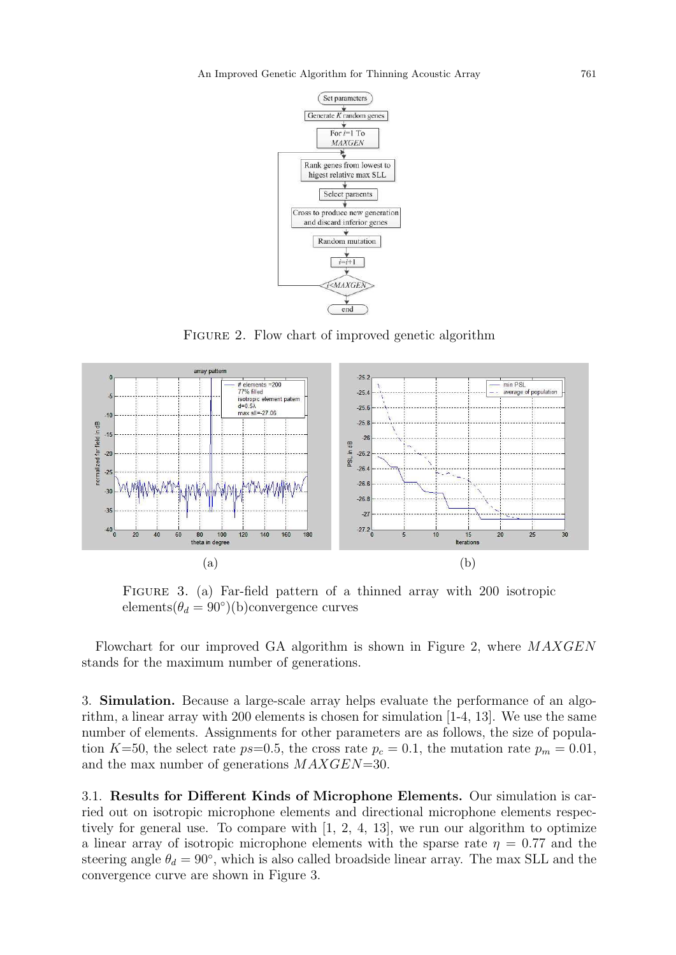

FIGURE 2. Flow chart of improved genetic algorithm



Figure 3. (a) Far-field pattern of a thinned array with 200 isotropic elements $(\theta_d = 90^\circ)(b)$ convergence curves

Flowchart for our improved GA algorithm is shown in Figure 2, where MAXGEN stands for the maximum number of generations.

3. Simulation. Because a large-scale array helps evaluate the performance of an algorithm, a linear array with 200 elements is chosen for simulation [1-4, 13]. We use the same number of elements. Assignments for other parameters are as follows, the size of population K=50, the select rate ps=0.5, the cross rate  $p_c = 0.1$ , the mutation rate  $p_m = 0.01$ , and the max number of generations MAXGEN=30.

3.1. Results for Different Kinds of Microphone Elements. Our simulation is carried out on isotropic microphone elements and directional microphone elements respectively for general use. To compare with [1, 2, 4, 13], we run our algorithm to optimize a linear array of isotropic microphone elements with the sparse rate  $\eta = 0.77$  and the steering angle  $\theta_d = 90^\circ$ , which is also called broadside linear array. The max SLL and the convergence curve are shown in Figure 3.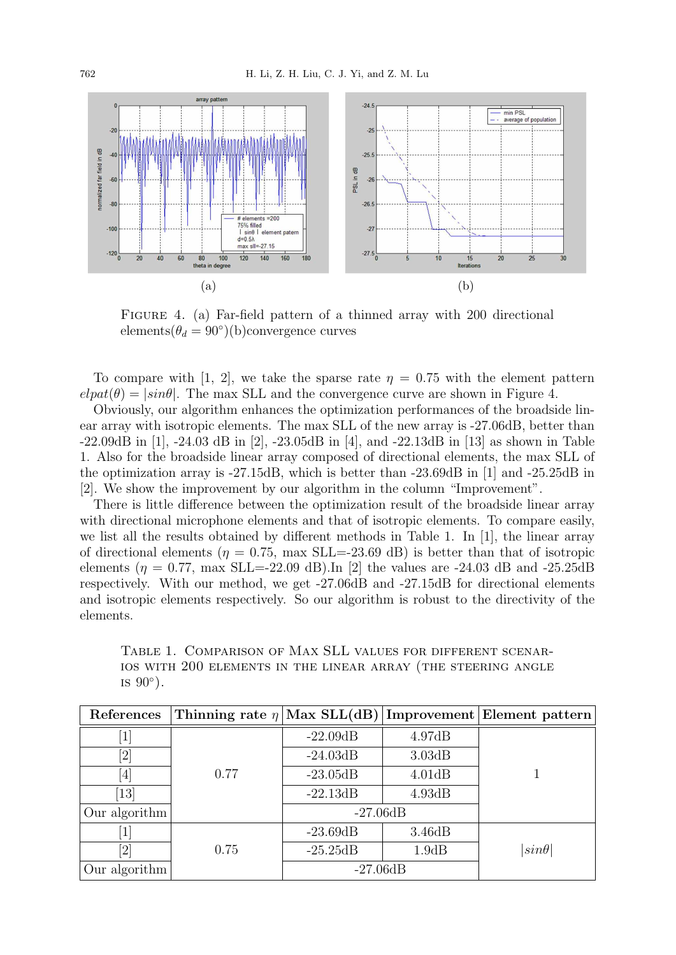

Figure 4. (a) Far-field pattern of a thinned array with 200 directional elements $(\theta_d = 90^\circ)(b)$ convergence curves

To compare with [1, 2], we take the sparse rate  $\eta = 0.75$  with the element pattern  $e$ let<sub> $\theta$ </sub> =  $|\sin\theta|$ . The max SLL and the convergence curve are shown in Figure 4.

Obviously, our algorithm enhances the optimization performances of the broadside linear array with isotropic elements. The max SLL of the new array is -27.06dB, better than -22.09dB in [1], -24.03 dB in [2], -23.05dB in [4], and -22.13dB in [13] as shown in Table 1. Also for the broadside linear array composed of directional elements, the max SLL of the optimization array is -27.15dB, which is better than -23.69dB in [1] and -25.25dB in [2]. We show the improvement by our algorithm in the column "Improvement".

There is little difference between the optimization result of the broadside linear array with directional microphone elements and that of isotropic elements. To compare easily, we list all the results obtained by different methods in Table 1. In [1], the linear array of directional elements ( $\eta = 0.75$ , max SLL=-23.69 dB) is better than that of isotropic elements ( $\eta = 0.77$ , max SLL=-22.09 dB). In [2] the values are -24.03 dB and -25.25dB respectively. With our method, we get -27.06dB and -27.15dB for directional elements and isotropic elements respectively. So our algorithm is robust to the directivity of the elements.

Table 1. Comparison of Max SLL values for different scenarios with 200 elements in the linear array (the steering angle is  $90^\circ$ ).

| References        |      |            |        | Thinning rate $\eta$ Max SLL(dB) Improvement Element pattern |
|-------------------|------|------------|--------|--------------------------------------------------------------|
| $\overline{1}$    |      | $-22.09dB$ | 4.97dB |                                                              |
| [2]               |      | $-24.03dB$ | 3.03dB |                                                              |
| [4]               | 0.77 | $-23.05dB$ | 4.01dB |                                                              |
| $\left[13\right]$ |      | $-22.13dB$ | 4.93dB |                                                              |
| Our algorithm     |      | $-27.06dB$ |        |                                                              |
| $\overline{1}$    |      | $-23.69dB$ | 3.46dB |                                                              |
| [2]               | 0.75 | $-25.25dB$ | 1.9dB  | $sin\theta$                                                  |
| Our algorithm     |      | $-27.06dB$ |        |                                                              |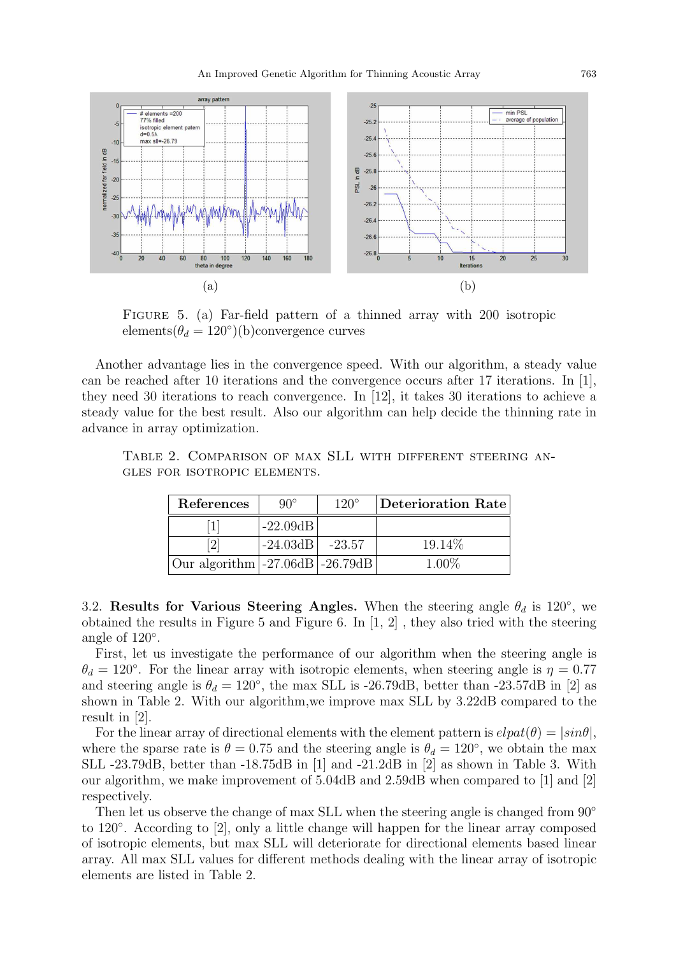

Figure 5. (a) Far-field pattern of a thinned array with 200 isotropic elements $(\theta_d = 120^{\circ})(b)$ convergence curves

Another advantage lies in the convergence speed. With our algorithm, a steady value can be reached after 10 iterations and the convergence occurs after 17 iterations. In [1], they need 30 iterations to reach convergence. In [12], it takes 30 iterations to achieve a steady value for the best result. Also our algorithm can help decide the thinning rate in advance in array optimization.

| TABLE 2. COMPARISON OF MAX SLL WITH DIFFERENT STEERING AN- |  |  |  |  |
|------------------------------------------------------------|--|--|--|--|
| GLES FOR ISOTROPIC ELEMENTS.                               |  |  |  |  |

| References                                                                                                                                                                    | $90^{\circ}$ | $120^\circ$ | Deterioration Rate |
|-------------------------------------------------------------------------------------------------------------------------------------------------------------------------------|--------------|-------------|--------------------|
|                                                                                                                                                                               | $-22.09dB$   |             |                    |
| $[2] % \includegraphics[width=0.9\columnwidth]{figures/2.png} % \caption{The figure shows the number of parameters of the estimators in the left and right.} \label{fig:2} %$ | $-24.03dB$   | $-23.57$    | 19.14\%            |
| Our algorithm $-27.06dB$ $-26.79dB$                                                                                                                                           |              |             | $1.00\%$           |

3.2. Results for Various Steering Angles. When the steering angle  $\theta_d$  is 120<sup>°</sup>, we obtained the results in Figure 5 and Figure 6. In [1, 2] , they also tried with the steering angle of 120°.

First, let us investigate the performance of our algorithm when the steering angle is  $\theta_d = 120^\circ$ . For the linear array with isotropic elements, when steering angle is  $\eta = 0.77$ and steering angle is  $\theta_d = 120^\circ$ , the max SLL is -26.79dB, better than -23.57dB in [2] as shown in Table 2. With our algorithm,we improve max SLL by 3.22dB compared to the result in [2].

For the linear array of directional elements with the element pattern is  $elpat(\theta) = |sin\theta|$ , where the sparse rate is  $\theta = 0.75$  and the steering angle is  $\theta_d = 120^{\circ}$ , we obtain the max SLL -23.79dB, better than -18.75dB in [1] and -21.2dB in [2] as shown in Table 3. With our algorithm, we make improvement of 5.04dB and 2.59dB when compared to [1] and [2] respectively.

Then let us observe the change of max SLL when the steering angle is changed from  $90°$ to 120◦ . According to [2], only a little change will happen for the linear array composed of isotropic elements, but max SLL will deteriorate for directional elements based linear array. All max SLL values for different methods dealing with the linear array of isotropic elements are listed in Table 2.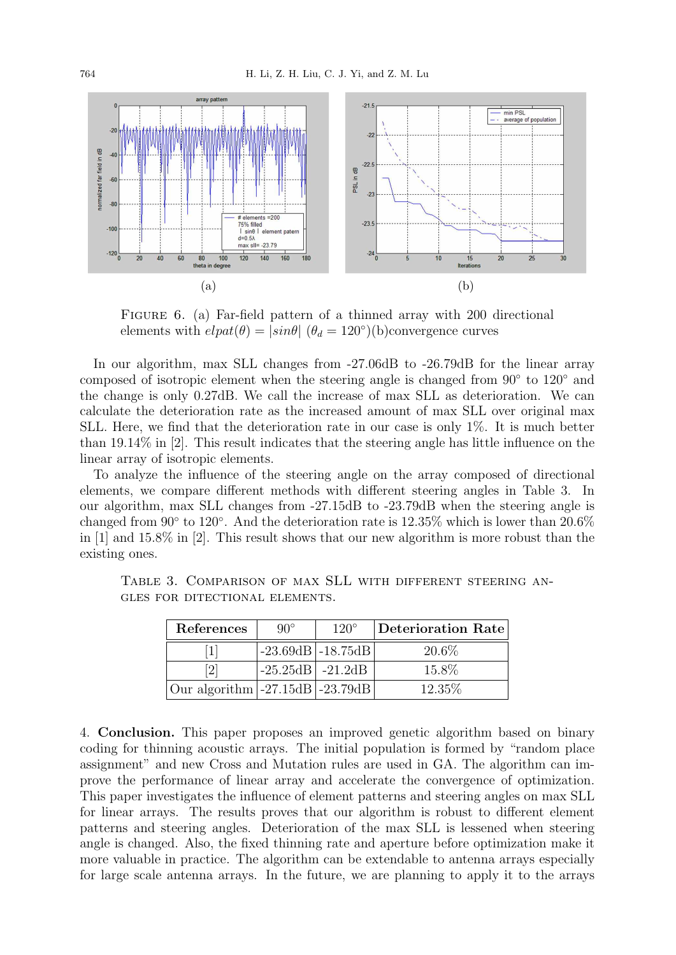

FIGURE 6. (a) Far-field pattern of a thinned array with 200 directional elements with  $elpat(\theta) = |sin\theta|$   $(\theta_d = 120^{\circ})(b)$ convergence curves

In our algorithm, max SLL changes from -27.06dB to -26.79dB for the linear array composed of isotropic element when the steering angle is changed from 90° to 120° and the change is only 0.27dB. We call the increase of max SLL as deterioration. We can calculate the deterioration rate as the increased amount of max SLL over original max SLL. Here, we find that the deterioration rate in our case is only 1%. It is much better than 19.14% in [2]. This result indicates that the steering angle has little influence on the linear array of isotropic elements.

To analyze the influence of the steering angle on the array composed of directional elements, we compare different methods with different steering angles in Table 3. In our algorithm, max SLL changes from -27.15dB to -23.79dB when the steering angle is changed from  $90^{\circ}$  to  $120^{\circ}$ . And the deterioration rate is  $12.35\%$  which is lower than  $20.6\%$ in [1] and 15.8% in [2]. This result shows that our new algorithm is more robust than the existing ones.

| References                                     | $90^{\circ}$         | $120^\circ$         | $\vert$ Deterioration Rate $\vert$ |
|------------------------------------------------|----------------------|---------------------|------------------------------------|
| $\left  \right $                               |                      | $-23.69dB$ -18.75dB | 20.6%                              |
| [2]                                            | $-25.25dB$   -21.2dB |                     | 15.8%                              |
| Our algorithm $\left[-27.15dB\right]$ -23.79dB |                      |                     | 12.35\%                            |

Table 3. Comparison of max SLL with different steering angles for ditectional elements.

4. Conclusion. This paper proposes an improved genetic algorithm based on binary coding for thinning acoustic arrays. The initial population is formed by "random place assignment" and new Cross and Mutation rules are used in GA. The algorithm can improve the performance of linear array and accelerate the convergence of optimization. This paper investigates the influence of element patterns and steering angles on max SLL for linear arrays. The results proves that our algorithm is robust to different element patterns and steering angles. Deterioration of the max SLL is lessened when steering angle is changed. Also, the fixed thinning rate and aperture before optimization make it more valuable in practice. The algorithm can be extendable to antenna arrays especially for large scale antenna arrays. In the future, we are planning to apply it to the arrays